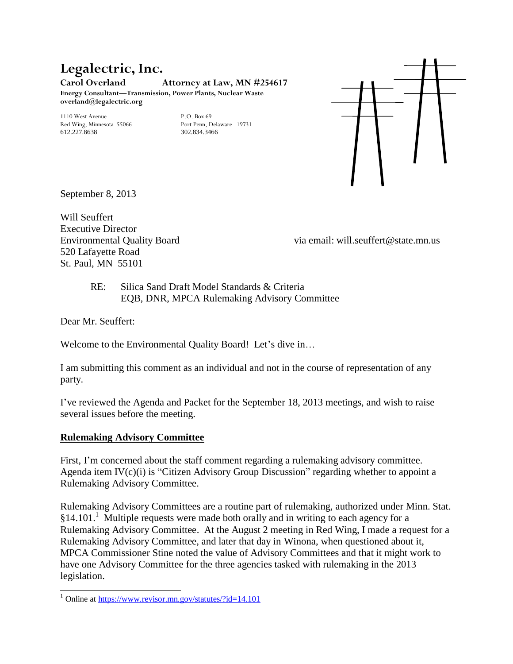#### **Legalectric, Inc. Carol Overland Attorney at Law, MN #254617 Energy Consultant—Transmission, Power Plants, Nuclear Waste overland@legalectric.org**

1110 West Avenue<br>
Red Wing, Minnesota 55066 Port Penn, Delaware 19731 Red Wing, Minnesota 55066 612.227.8638 302.834.3466



September 8, 2013

Will Seuffert Executive Director 520 Lafayette Road St. Paul, MN 55101

Environmental Quality Board via email: will.seuffert@state.mn.us

RE: Silica Sand Draft Model Standards & Criteria EQB, DNR, MPCA Rulemaking Advisory Committee

Dear Mr. Seuffert:

 $\overline{a}$ 

Welcome to the Environmental Quality Board! Let's dive in...

I am submitting this comment as an individual and not in the course of representation of any party.

I've reviewed the Agenda and Packet for the September 18, 2013 meetings, and wish to raise several issues before the meeting.

#### **Rulemaking Advisory Committee**

First, I'm concerned about the staff comment regarding a rulemaking advisory committee. Agenda item IV(c)(i) is "Citizen Advisory Group Discussion" regarding whether to appoint a Rulemaking Advisory Committee.

Rulemaking Advisory Committees are a routine part of rulemaking, authorized under Minn. Stat. §14.101.<sup>1</sup> Multiple requests were made both orally and in writing to each agency for a Rulemaking Advisory Committee. At the August 2 meeting in Red Wing, I made a request for a Rulemaking Advisory Committee, and later that day in Winona, when questioned about it, MPCA Commissioner Stine noted the value of Advisory Committees and that it might work to have one Advisory Committee for the three agencies tasked with rulemaking in the 2013 legislation.

<sup>&</sup>lt;sup>1</sup> Online at<https://www.revisor.mn.gov/statutes/?id=14.101>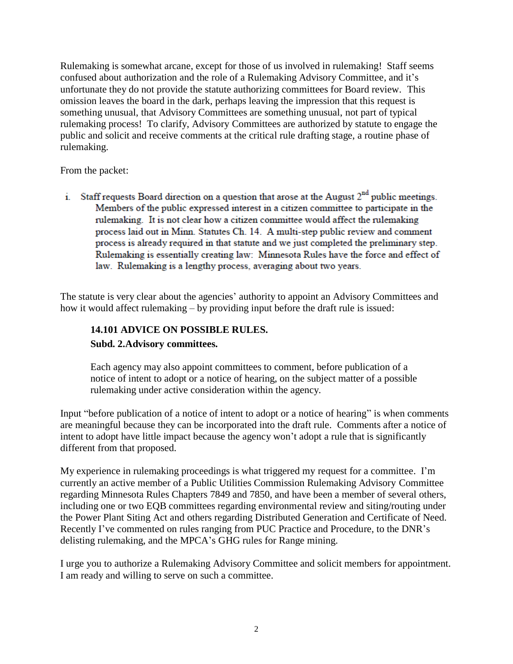Rulemaking is somewhat arcane, except for those of us involved in rulemaking! Staff seems confused about authorization and the role of a Rulemaking Advisory Committee, and it's unfortunate they do not provide the statute authorizing committees for Board review. This omission leaves the board in the dark, perhaps leaving the impression that this request is something unusual, that Advisory Committees are something unusual, not part of typical rulemaking process! To clarify, Advisory Committees are authorized by statute to engage the public and solicit and receive comments at the critical rule drafting stage, a routine phase of rulemaking.

From the packet:

i. Staff requests Board direction on a question that arose at the August  $2<sup>nd</sup>$  public meetings. Members of the public expressed interest in a citizen committee to participate in the rulemaking. It is not clear how a citizen committee would affect the rulemaking process laid out in Minn. Statutes Ch. 14. A multi-step public review and comment process is already required in that statute and we just completed the preliminary step. Rulemaking is essentially creating law: Minnesota Rules have the force and effect of law. Rulemaking is a lengthy process, averaging about two years.

The statute is very clear about the agencies' authority to appoint an Advisory Committees and how it would affect rulemaking – by providing input before the draft rule is issued:

# **14.101 ADVICE ON POSSIBLE RULES. Subd. 2.Advisory committees.**

Each agency may also appoint committees to comment, before publication of a notice of intent to adopt or a notice of hearing, on the subject matter of a possible rulemaking under active consideration within the agency.

Input "before publication of a notice of intent to adopt or a notice of hearing" is when comments are meaningful because they can be incorporated into the draft rule. Comments after a notice of intent to adopt have little impact because the agency won't adopt a rule that is significantly different from that proposed.

My experience in rulemaking proceedings is what triggered my request for a committee. I'm currently an active member of a Public Utilities Commission Rulemaking Advisory Committee regarding Minnesota Rules Chapters 7849 and 7850, and have been a member of several others, including one or two EQB committees regarding environmental review and siting/routing under the Power Plant Siting Act and others regarding Distributed Generation and Certificate of Need. Recently I've commented on rules ranging from PUC Practice and Procedure, to the DNR's delisting rulemaking, and the MPCA's GHG rules for Range mining.

I urge you to authorize a Rulemaking Advisory Committee and solicit members for appointment. I am ready and willing to serve on such a committee.